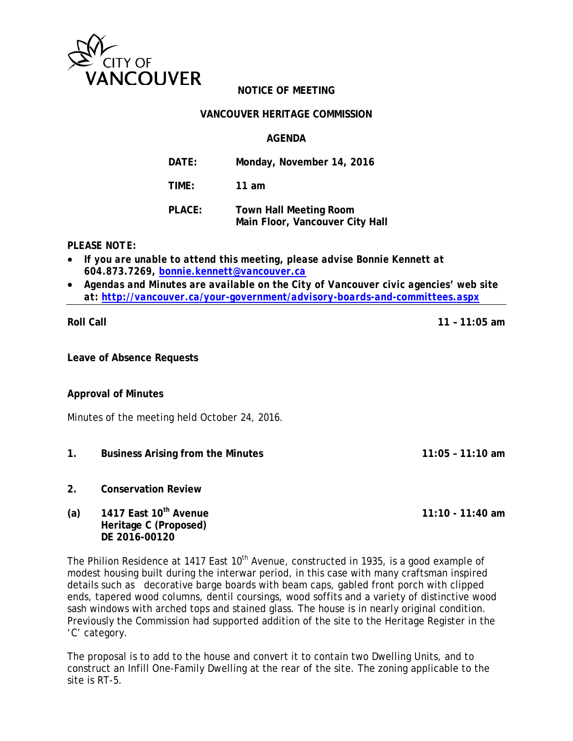

## **NOTICE OF MEETING**

#### **VANCOUVER HERITAGE COMMISSION**

## **AGENDA**

**DATE: Monday, November 14, 2016**

**TIME: 11 am**

| <b>PLACE:</b> | <b>Town Hall Meeting Room</b>   |
|---------------|---------------------------------|
|               | Main Floor, Vancouver City Hall |

*PLEASE NOTE:*

- *If you are unable to attend this meeting, please advise Bonnie Kennett at 604.873.7269, [bonnie.kennett@vancouver.ca](mailto:tina.hildebrandt@vancouver.ca)*
- *Agendas and Minutes are available on the City of Vancouver civic agencies' web site at:<http://vancouver.ca/your-government/advisory-boards-and-committees.aspx>*

**Roll Call 11 – 11:05 am**

**Leave of Absence Requests**

#### **Approval of Minutes**

Minutes of the meeting held October 24, 2016.

- **1. Business Arising from the Minutes 11:05 11:10 am**
- **2. Conservation Review**
- **(a) 1417 East 10th Avenue 11:10 11:40 am Heritage C (Proposed) DE 2016-00120**

The Philion Residence at 1417 East 10<sup>th</sup> Avenue, constructed in 1935, is a good example of modest housing built during the interwar period, in this case with many craftsman inspired details such as decorative barge boards with beam caps, gabled front porch with clipped ends, tapered wood columns, dentil coursings, wood soffits and a variety of distinctive wood sash windows with arched tops and stained glass. The house is in nearly original condition. Previously the Commission had supported addition of the site to the Heritage Register in the 'C' category.

The proposal is to add to the house and convert it to contain two Dwelling Units, and to construct an Infill One-Family Dwelling at the rear of the site. The zoning applicable to the site is RT-5.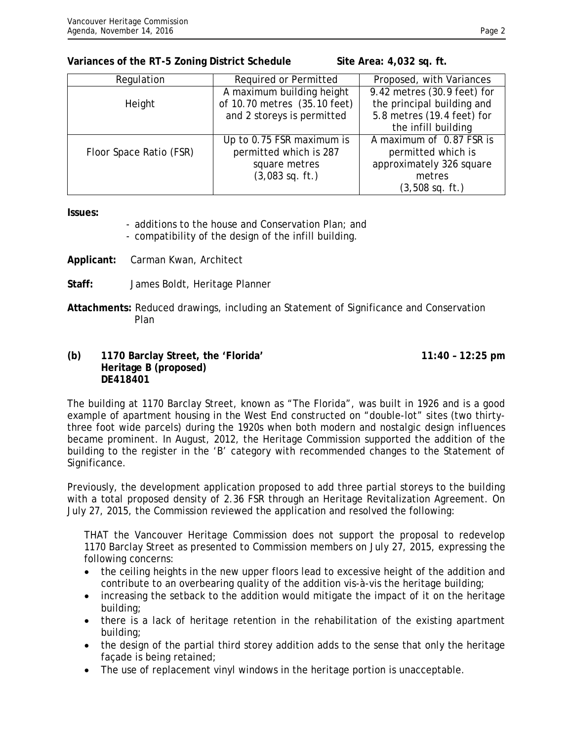#### **Variances of the RT-5 Zoning District Schedule Site Area: 4,032 sq. ft.**

| Regulation              | Required or Permitted        | Proposed, with Variances    |
|-------------------------|------------------------------|-----------------------------|
|                         | A maximum building height    | 9.42 metres (30.9 feet) for |
| Height                  | of 10.70 metres (35.10 feet) | the principal building and  |
|                         | and 2 storeys is permitted   | 5.8 metres (19.4 feet) for  |
|                         |                              | the infill building         |
|                         | Up to 0.75 FSR maximum is    | A maximum of 0.87 FSR is    |
| Floor Space Ratio (FSR) | permitted which is 287       | permitted which is          |
|                         | square metres                | approximately 326 square    |
|                         | $(3,083$ sq. ft.)            | metres                      |
|                         |                              | $(3,508 \text{ sq. ft.})$   |

**Issues:** 

- additions to the house and Conservation Plan; and
- compatibility of the design of the infill building.
- **Applicant:** Carman Kwan, Architect
- **Staff:** James Boldt, Heritage Planner
- **Attachments:** Reduced drawings, including an Statement of Significance and Conservation Plan

## **(b) 1170 Barclay Street, the 'Florida' 11:40 – 12:25 pm Heritage B (proposed) DE418401**

The building at 1170 Barclay Street, known as "The Florida", was built in 1926 and is a good example of apartment housing in the West End constructed on "double-lot" sites (two thirtythree foot wide parcels) during the 1920s when both modern and nostalgic design influences became prominent. In August, 2012, the Heritage Commission supported the addition of the building to the register in the 'B' category with recommended changes to the Statement of Significance.

Previously, the development application proposed to add three partial storeys to the building with a total proposed density of 2.36 FSR through an Heritage Revitalization Agreement. On July 27, 2015, the Commission reviewed the application and resolved the following:

THAT the Vancouver Heritage Commission does not support the proposal to redevelop 1170 Barclay Street as presented to Commission members on July 27, 2015, expressing the following concerns:

- the ceiling heights in the new upper floors lead to excessive height of the addition and contribute to an overbearing quality of the addition vis-à-vis the heritage building;
- increasing the setback to the addition would mitigate the impact of it on the heritage building;
- there is a lack of heritage retention in the rehabilitation of the existing apartment building;
- the design of the partial third storey addition adds to the sense that only the heritage façade is being retained;
- The use of replacement vinyl windows in the heritage portion is unacceptable.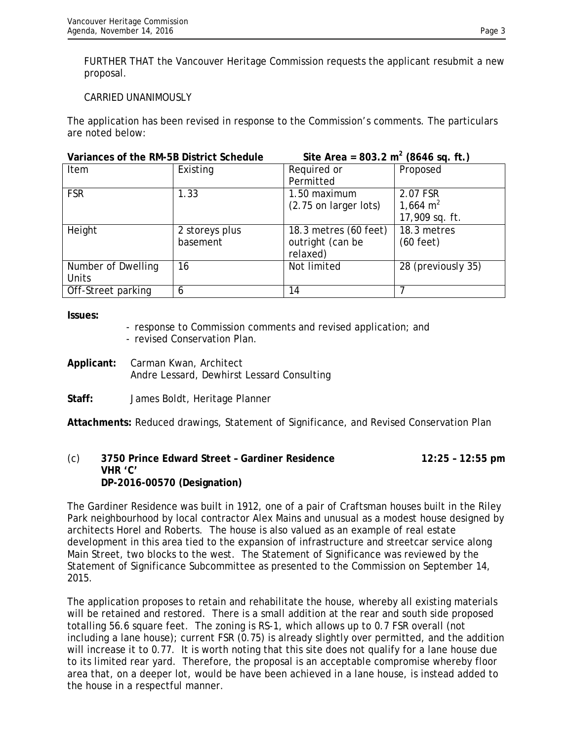FURTHER THAT the Vancouver Heritage Commission requests the applicant resubmit a new proposal.

## CARRIED UNANIMOUSLY

The application has been revised in response to the Commission's comments. The particulars are noted below:

| Variances of the RM-5B District Schedule |                | $\Sigma$ ite Area = 803.2 m <sup>-</sup> (8646 sq. ft.) |                     |
|------------------------------------------|----------------|---------------------------------------------------------|---------------------|
| Item                                     | Existing       | Required or                                             | Proposed            |
|                                          |                | Permitted                                               |                     |
| <b>FSR</b>                               | 1.33           | 1.50 maximum                                            | 2.07 FSR            |
|                                          |                | (2.75 on larger lots)                                   | 1,664 $m2$          |
|                                          |                |                                                         | 17,909 sq. ft.      |
| Height                                   | 2 storeys plus | 18.3 metres (60 feet)                                   | 18.3 metres         |
|                                          | basement       | outright (can be                                        | $(60 \text{ feet})$ |
|                                          |                | relaxed)                                                |                     |
| Number of Dwelling                       | 16             | Not limited                                             | 28 (previously 35)  |
| Units                                    |                |                                                         |                     |
| Off-Street parking                       | 6              | 14                                                      |                     |

**Issues:**

- response to Commission comments and revised application; and
- revised Conservation Plan.
- **Applicant:** Carman Kwan, Architect Andre Lessard, Dewhirst Lessard Consulting
- **Staff:** James Boldt, Heritage Planner

**Attachments:** Reduced drawings, Statement of Significance, and Revised Conservation Plan

## (c) **3750 Prince Edward Street – Gardiner Residence 12:25 – 12:55 pm VHR 'C' DP-2016-00570 (Designation)**

The Gardiner Residence was built in 1912, one of a pair of Craftsman houses built in the Riley Park neighbourhood by local contractor Alex Mains and unusual as a modest house designed by architects Horel and Roberts. The house is also valued as an example of real estate development in this area tied to the expansion of infrastructure and streetcar service along Main Street, two blocks to the west. The Statement of Significance was reviewed by the Statement of Significance Subcommittee as presented to the Commission on September 14, 2015.

The application proposes to retain and rehabilitate the house, whereby all existing materials will be retained and restored. There is a small addition at the rear and south side proposed totalling 56.6 square feet. The zoning is RS-1, which allows up to 0.7 FSR overall (not including a lane house); current FSR (0.75) is already slightly over permitted, and the addition will increase it to 0.77. It is worth noting that this site does not qualify for a lane house due to its limited rear yard. Therefore, the proposal is an acceptable compromise whereby floor area that, on a deeper lot, would be have been achieved in a lane house, is instead added to the house in a respectful manner.

#### **Variances of the RM-5B District Schedule Site Area = 803.2 m2 (8646 sq. ft.)**